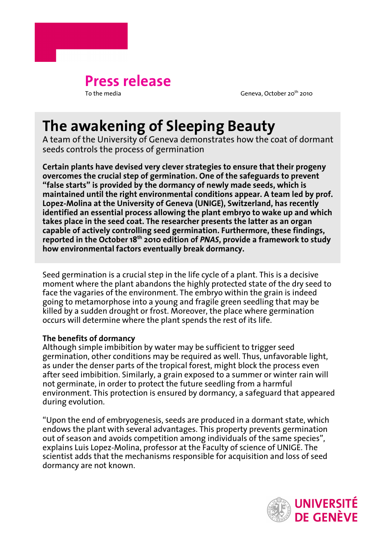

Geneva, October 20<sup>th</sup> 2010

# **The awakening of Sleeping Beauty**

A team of the University of Geneva demonstrates how the coat of dormant seeds controls the process of germination

**Certain plants have devised very clever strategies to ensure that their progeny overcomes the crucial step of germination. One of the safeguards to prevent "false starts" is provided by the dormancy of newly made seeds, which is maintained until the right environmental conditions appear. A team led by prof. Lopez-Molina at the University of Geneva (UNIGE), Switzerland, has recently identified an essential process allowing the plant embryo to wake up and which takes place in the seed coat. The researcher presents the latter as an organ capable of actively controlling seed germination. Furthermore, these findings, reported in the October 18th 2010 edition of** *PNAS***, provide a framework to study how environmental factors eventually break dormancy.**

Seed germination is a crucial step in the life cycle of a plant. This is a decisive moment where the plant abandons the highly protected state of the dry seed to face the vagaries of the environment. The embryo within the grain is indeed going to metamorphose into a young and fragile green seedling that may be killed by a sudden drought or frost. Moreover, the place where germination occurs will determine where the plant spends the rest of its life.

# **The benefits of dormancy**

Although simple imbibition by water may be sufficient to trigger seed germination, other conditions may be required as well. Thus, unfavorable light, as under the denser parts of the tropical forest, might block the process even after seed imbibition. Similarly, a grain exposed to a summer or winter rain will not germinate, in order to protect the future seedling from a harmful environment. This protection is ensured by dormancy, a safeguard that appeared during evolution.

"Upon the end of embryogenesis, seeds are produced in a dormant state, which endows the plant with several advantages. This property prevents germination out of season and avoids competition among individuals of the same species", explains Luis Lopez-Molina, professor at the Faculty of science of UNIGE. The scientist adds that the mechanisms responsible for acquisition and loss of seed dormancy are not known.